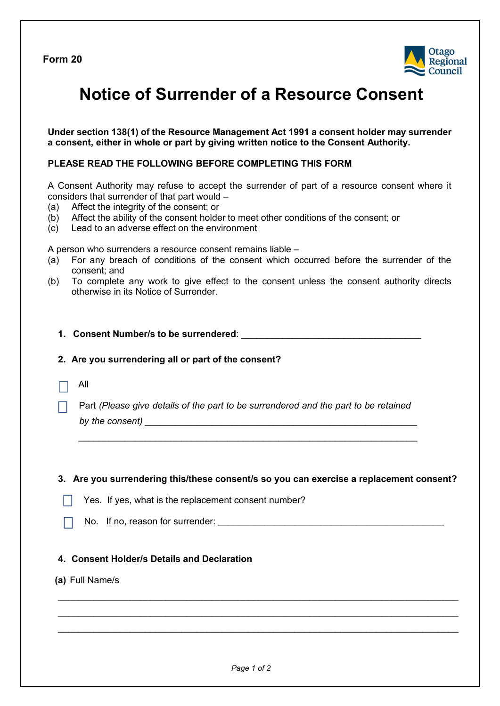**Form 20** 



# **Notice of Surrender of a Resource Consent**

**Under section 138(1) of the Resource Management Act 1991 a consent holder may surrender a consent, either in whole or part by giving written notice to the Consent Authority.**

### **PLEASE READ THE FOLLOWING BEFORE COMPLETING THIS FORM**

A Consent Authority may refuse to accept the surrender of part of a resource consent where it considers that surrender of that part would –

- (a) Affect the integrity of the consent; or
- (b) Affect the ability of the consent holder to meet other conditions of the consent; or
- (c) Lead to an adverse effect on the environment

A person who surrenders a resource consent remains liable –

- (a) For any breach of conditions of the consent which occurred before the surrender of the consent; and
- (b) To complete any work to give effect to the consent unless the consent authority directs otherwise in its Notice of Surrender.
	- **1. Consent Number/s to be surrendered**: \_\_\_\_\_\_\_\_\_\_\_\_\_\_\_\_\_\_\_\_\_\_\_\_\_\_\_\_\_\_\_\_\_\_\_

### **2. Are you surrendering all or part of the consent?**

- All
	- Part *(Please give details of the part to be surrendered and the part to be retained by the consent)*  $\frac{1}{2}$   $\frac{1}{2}$   $\frac{1}{2}$   $\frac{1}{2}$   $\frac{1}{2}$   $\frac{1}{2}$   $\frac{1}{2}$   $\frac{1}{2}$   $\frac{1}{2}$   $\frac{1}{2}$   $\frac{1}{2}$   $\frac{1}{2}$   $\frac{1}{2}$   $\frac{1}{2}$   $\frac{1}{2}$   $\frac{1}{2}$   $\frac{1}{2}$   $\frac{1}{2}$   $\frac{1}{2}$   $\frac{1}{2}$   $\frac{$

 *\_\_\_\_\_\_\_\_\_\_\_\_\_\_\_\_\_\_\_\_\_\_\_\_\_\_\_\_\_\_\_\_\_\_\_\_\_\_\_\_\_\_\_\_\_\_\_\_\_\_\_\_\_\_\_\_\_\_\_\_\_\_\_\_\_\_*

#### **3. Are you surrendering this/these consent/s so you can exercise a replacement consent?**

- Yes. If yes, what is the replacement consent number?
- No. If no, reason for surrender:  $\Box$

## **4. Consent Holder/s Details and Declaration**

**(a)** Full Name/s

 $\mathcal{L}_\text{max}$  and  $\mathcal{L}_\text{max}$  and  $\mathcal{L}_\text{max}$  and  $\mathcal{L}_\text{max}$  and  $\mathcal{L}_\text{max}$  and  $\mathcal{L}_\text{max}$ 

 $\mathcal{L}_\mathcal{L} = \mathcal{L}_\mathcal{L} = \mathcal{L}_\mathcal{L} = \mathcal{L}_\mathcal{L} = \mathcal{L}_\mathcal{L} = \mathcal{L}_\mathcal{L} = \mathcal{L}_\mathcal{L} = \mathcal{L}_\mathcal{L} = \mathcal{L}_\mathcal{L} = \mathcal{L}_\mathcal{L} = \mathcal{L}_\mathcal{L} = \mathcal{L}_\mathcal{L} = \mathcal{L}_\mathcal{L} = \mathcal{L}_\mathcal{L} = \mathcal{L}_\mathcal{L} = \mathcal{L}_\mathcal{L} = \mathcal{L}_\mathcal{L}$